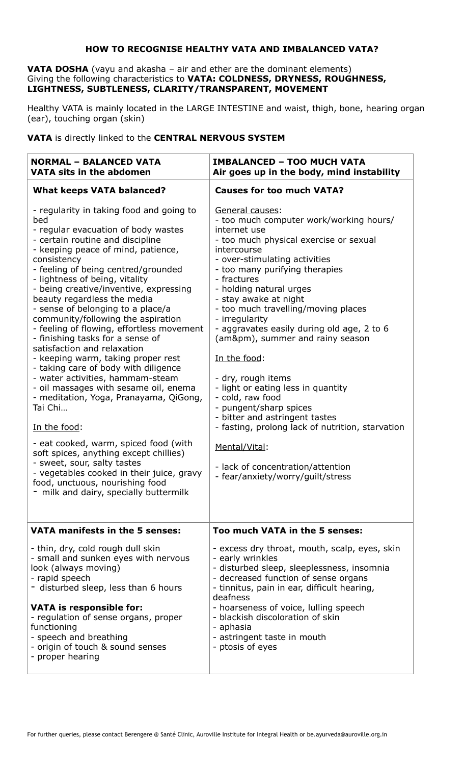# **HOW TO RECOGNISE HEALTHY VATA AND IMBALANCED VATA?**

**VATA DOSHA** (vayu and akasha – air and ether are the dominant elements) Giving the following characteristics to **VATA: COLDNESS, DRYNESS, ROUGHNESS, LIGHTNESS, SUBTLENESS, CLARITY/TRANSPARENT, MOVEMENT**

Healthy VATA is mainly located in the LARGE INTESTINE and waist, thigh, bone, hearing organ (ear), touching organ (skin)

# **VATA** is directly linked to the **CENTRAL NERVOUS SYSTEM**

| <b>NORMAL - BALANCED VATA</b><br><b>VATA sits in the abdomen</b>                                                                                                                                                                                                                                                                                                                                                                                                                                                                                                                                                                                                                                                                                                                                                                                                                                                                                                                                         | <b>IMBALANCED - TOO MUCH VATA</b><br>Air goes up in the body, mind instability                                                                                                                                                                                                                                                                                                                                                                                                                                                                                                                                                                                                                                                |
|----------------------------------------------------------------------------------------------------------------------------------------------------------------------------------------------------------------------------------------------------------------------------------------------------------------------------------------------------------------------------------------------------------------------------------------------------------------------------------------------------------------------------------------------------------------------------------------------------------------------------------------------------------------------------------------------------------------------------------------------------------------------------------------------------------------------------------------------------------------------------------------------------------------------------------------------------------------------------------------------------------|-------------------------------------------------------------------------------------------------------------------------------------------------------------------------------------------------------------------------------------------------------------------------------------------------------------------------------------------------------------------------------------------------------------------------------------------------------------------------------------------------------------------------------------------------------------------------------------------------------------------------------------------------------------------------------------------------------------------------------|
| <b>What keeps VATA balanced?</b>                                                                                                                                                                                                                                                                                                                                                                                                                                                                                                                                                                                                                                                                                                                                                                                                                                                                                                                                                                         | <b>Causes for too much VATA?</b>                                                                                                                                                                                                                                                                                                                                                                                                                                                                                                                                                                                                                                                                                              |
| - regularity in taking food and going to<br>bed<br>- regular evacuation of body wastes<br>- certain routine and discipline<br>- keeping peace of mind, patience,<br>consistency<br>- feeling of being centred/grounded<br>- lightness of being, vitality<br>- being creative/inventive, expressing<br>beauty regardless the media<br>- sense of belonging to a place/a<br>community/following the aspiration<br>- feeling of flowing, effortless movement<br>- finishing tasks for a sense of<br>satisfaction and relaxation<br>- keeping warm, taking proper rest<br>- taking care of body with diligence<br>- water activities, hammam-steam<br>- oil massages with sesame oil, enema<br>- meditation, Yoga, Pranayama, QiGong,<br>Tai Chi<br>In the food:<br>- eat cooked, warm, spiced food (with<br>soft spices, anything except chillies)<br>- sweet, sour, salty tastes<br>- vegetables cooked in their juice, gravy<br>food, unctuous, nourishing food<br>- milk and dairy, specially buttermilk | General causes:<br>- too much computer work/working hours/<br>internet use<br>- too much physical exercise or sexual<br>intercourse<br>- over-stimulating activities<br>- too many purifying therapies<br>- fractures<br>- holding natural urges<br>- stay awake at night<br>- too much travelling/moving places<br>- irregularity<br>- aggravates easily during old age, 2 to 6<br>(am±), summer and rainy season<br>In the food:<br>- dry, rough items<br>- light or eating less in quantity<br>- cold, raw food<br>- pungent/sharp spices<br>- bitter and astringent tastes<br>- fasting, prolong lack of nutrition, starvation<br>Mental/Vital:<br>- lack of concentration/attention<br>- fear/anxiety/worry/guilt/stress |
| VATA manifests in the 5 senses:                                                                                                                                                                                                                                                                                                                                                                                                                                                                                                                                                                                                                                                                                                                                                                                                                                                                                                                                                                          | Too much VATA in the 5 senses:                                                                                                                                                                                                                                                                                                                                                                                                                                                                                                                                                                                                                                                                                                |
| - thin, dry, cold rough dull skin<br>- small and sunken eyes with nervous<br>look (always moving)<br>- rapid speech<br>- disturbed sleep, less than 6 hours<br><b>VATA is responsible for:</b><br>- regulation of sense organs, proper<br>functioning<br>- speech and breathing<br>- origin of touch & sound senses<br>- proper hearing                                                                                                                                                                                                                                                                                                                                                                                                                                                                                                                                                                                                                                                                  | - excess dry throat, mouth, scalp, eyes, skin<br>- early wrinkles<br>- disturbed sleep, sleeplessness, insomnia<br>- decreased function of sense organs<br>- tinnitus, pain in ear, difficult hearing,<br>deafness<br>- hoarseness of voice, lulling speech<br>- blackish discoloration of skin<br>- aphasia<br>- astringent taste in mouth<br>- ptosis of eyes                                                                                                                                                                                                                                                                                                                                                               |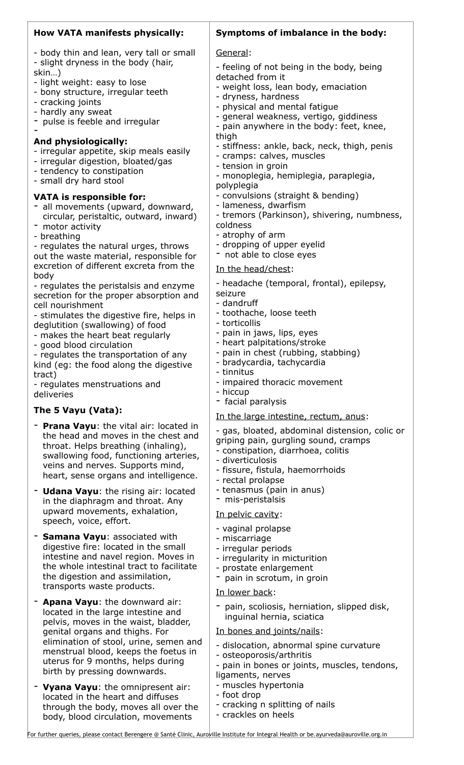# **How VATA manifests physically:**

- body thin and lean, very tall or small - slight dryness in the body (hair,

- skin…)
- light weight: easy to lose - bony structure, irregular teeth
- cracking joints
- hardly any sweat

-

- pulse is feeble and irregular

#### **And physiologically:**

- irregular appetite, skip meals easily
- irregular digestion, bloated/gas
- tendency to constipation
- small dry hard stool

# **VATA is responsible for:**

- all movements (upward, downward, circular, peristaltic, outward, inward)
- motor activity
- breathing

- regulates the natural urges, throws out the waste material, responsible for excretion of different excreta from the body

- regulates the peristalsis and enzyme secretion for the proper absorption and cell nourishment

- stimulates the digestive fire, helps in deglutition (swallowing) of food

- makes the heart beat regularly

- good blood circulation

- regulates the transportation of any kind (eg: the food along the digestive tract)

- regulates menstruations and deliveries

# **The 5 Vayu (Vata):**

- **Prana Vayu**: the vital air: located in the head and moves in the chest and throat. Helps breathing (inhaling), swallowing food, functioning arteries, veins and nerves. Supports mind, heart, sense organs and intelligence.
- **Udana Vayu**: the rising air: located in the diaphragm and throat. Any upward movements, exhalation, speech, voice, effort.
- **Samana Vayu**: associated with digestive fire: located in the small intestine and navel region. Moves in the whole intestinal tract to facilitate the digestion and assimilation, transports waste products.
- Apana Vayu: the downward air: located in the large intestine and pelvis, moves in the waist, bladder, genital organs and thighs. For elimination of stool, urine, semen and menstrual blood, keeps the foetus in uterus for 9 months, helps during birth by pressing downwards.
- **Vyana Vayu**: the omnipresent air: located in the heart and diffuses through the body, moves all over the body, blood circulation, movements

# **Symptoms of imbalance in the body:**

#### General:

- feeling of not being in the body, being detached from it
- weight loss, lean body, emaciation
- dryness, hardness
- physical and mental fatigue
- general weakness, vertigo, giddiness
- pain anywhere in the body: feet, knee, thigh
- stiffness: ankle, back, neck, thigh, penis
- cramps: calves, muscles
- tension in groin
- monoplegia, hemiplegia, paraplegia,
- polyplegia
- convulsions (straight & bending)
- lameness, dwarfism
- tremors (Parkinson), shivering, numbness, coldness
- atrophy of arm
- dropping of upper eyelid
- not able to close eyes

In the head/chest:

- headache (temporal, frontal), epilepsy,

- seizure
- dandruff
- toothache, loose teeth
- torticollis
- pain in jaws, lips, eyes
- heart palpitations/stroke
- pain in chest (rubbing, stabbing)
- bradycardia, tachycardia
- tinnitus
- impaired thoracic movement
- hiccup
- facial paralysis

### In the large intestine, rectum, anus:

- gas, bloated, abdominal distension, colic or griping pain, gurgling sound, cramps
- constipation, diarrhoea, colitis
- diverticulosis
- fissure, fistula, haemorrhoids
- rectal prolapse
- tenasmus (pain in anus)
- mis-peristalsis

### In pelvic cavity:

- vaginal prolapse
- miscarriage
- irregular periods
- irregularity in micturition
- prostate enlargement
- pain in scrotum, in groin

### In lower back:

pain, scoliosis, herniation, slipped disk, inguinal hernia, sciatica

### In bones and joints/nails:

- dislocation, abnormal spine curvature
- osteoporosis/arthritis
- pain in bones or joints, muscles, tendons, ligaments, nerves
- muscles hypertonia
- foot drop
- cracking n splitting of nails
- crackles on heels